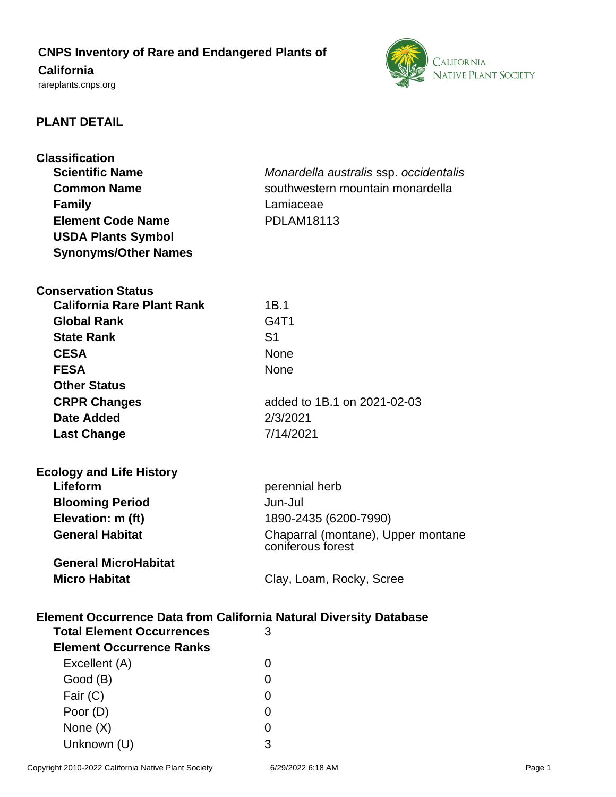# **CNPS Inventory of Rare and Endangered Plants of California** <rareplants.cnps.org>



### **PLANT DETAIL**

| <b>Classification</b>                                                     |                                        |  |
|---------------------------------------------------------------------------|----------------------------------------|--|
| <b>Scientific Name</b>                                                    | Monardella australis ssp. occidentalis |  |
| <b>Common Name</b>                                                        | southwestern mountain monardella       |  |
| <b>Family</b>                                                             | Lamiaceae                              |  |
| <b>Element Code Name</b>                                                  | <b>PDLAM18113</b>                      |  |
| <b>USDA Plants Symbol</b>                                                 |                                        |  |
| <b>Synonyms/Other Names</b>                                               |                                        |  |
|                                                                           |                                        |  |
| <b>Conservation Status</b>                                                |                                        |  |
| <b>California Rare Plant Rank</b>                                         | 1B.1                                   |  |
|                                                                           |                                        |  |
| <b>Global Rank</b>                                                        | G4T1                                   |  |
| <b>State Rank</b>                                                         | S <sub>1</sub>                         |  |
| <b>CESA</b>                                                               | None                                   |  |
| <b>FESA</b>                                                               | None                                   |  |
| <b>Other Status</b>                                                       |                                        |  |
| <b>CRPR Changes</b>                                                       | added to 1B.1 on 2021-02-03            |  |
| Date Added                                                                | 2/3/2021                               |  |
| <b>Last Change</b>                                                        | 7/14/2021                              |  |
|                                                                           |                                        |  |
| <b>Ecology and Life History</b>                                           |                                        |  |
| Lifeform                                                                  | perennial herb                         |  |
| <b>Blooming Period</b>                                                    | Jun-Jul                                |  |
| Elevation: m (ft)                                                         | 1890-2435 (6200-7990)                  |  |
| <b>General Habitat</b>                                                    | Chaparral (montane), Upper montane     |  |
|                                                                           | coniferous forest                      |  |
| <b>General MicroHabitat</b>                                               |                                        |  |
| <b>Micro Habitat</b>                                                      | Clay, Loam, Rocky, Scree               |  |
|                                                                           |                                        |  |
| <b>Element Occurrence Data from California Natural Diversity Database</b> |                                        |  |
| <b>Total Element Occurrences</b>                                          | 3                                      |  |
| <b>Element Occurrence Ranks</b>                                           |                                        |  |
| Excellent (A)                                                             | 0                                      |  |
|                                                                           |                                        |  |
| Good (B)                                                                  | 0                                      |  |
| Fair (C)                                                                  | 0                                      |  |
| Poor (D)                                                                  | 0                                      |  |
| None $(X)$                                                                | 0                                      |  |
| Unknown (U)                                                               | 3                                      |  |